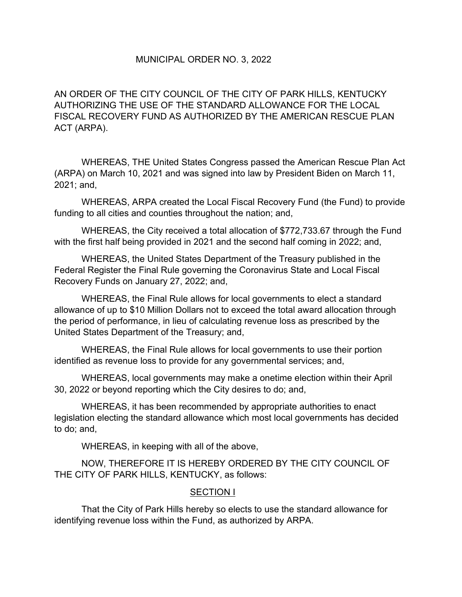## MUNICIPAL ORDER NO. 3, 2022

AN ORDER OF THE CITY COUNCIL OF THE CITY OF PARK HILLS, KENTUCKY AUTHORIZING THE USE OF THE STANDARD ALLOWANCE FOR THE LOCAL FISCAL RECOVERY FUND AS AUTHORIZED BY THE AMERICAN RESCUE PLAN ACT (ARPA).

 WHEREAS, THE United States Congress passed the American Rescue Plan Act (ARPA) on March 10, 2021 and was signed into law by President Biden on March 11, 2021; and,

 WHEREAS, ARPA created the Local Fiscal Recovery Fund (the Fund) to provide funding to all cities and counties throughout the nation; and,

 WHEREAS, the City received a total allocation of \$772,733.67 through the Fund with the first half being provided in 2021 and the second half coming in 2022; and,

 WHEREAS, the United States Department of the Treasury published in the Federal Register the Final Rule governing the Coronavirus State and Local Fiscal Recovery Funds on January 27, 2022; and,

 WHEREAS, the Final Rule allows for local governments to elect a standard allowance of up to \$10 Million Dollars not to exceed the total award allocation through the period of performance, in lieu of calculating revenue loss as prescribed by the United States Department of the Treasury; and,

 WHEREAS, the Final Rule allows for local governments to use their portion identified as revenue loss to provide for any governmental services; and,

 WHEREAS, local governments may make a onetime election within their April 30, 2022 or beyond reporting which the City desires to do; and,

 WHEREAS, it has been recommended by appropriate authorities to enact legislation electing the standard allowance which most local governments has decided to do; and,

WHEREAS, in keeping with all of the above,

NOW, THEREFORE IT IS HEREBY ORDERED BY THE CITY COUNCIL OF THE CITY OF PARK HILLS, KENTUCKY, as follows:

#### SECTION I

That the City of Park Hills hereby so elects to use the standard allowance for identifying revenue loss within the Fund, as authorized by ARPA.